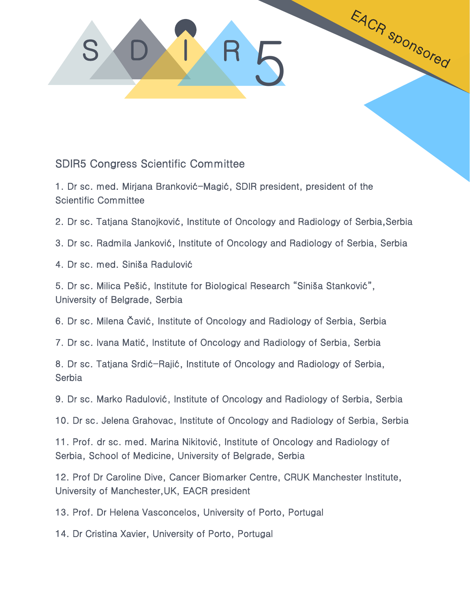## S DAI R 5

## SDIR5 Congress Scientific Committee

1. Dr sc. med. Mirjana Branković-Magić, SDIR president, president of the Scientific Committee

2. Dr sc. Tatjana Stanojković, Institute of Oncology and Radiology of Serbia,Serbia

EACR SDONSOred

3. Dr sc. Radmila Janković, Institute of Oncology and Radiology of Serbia, Serbia

4. Dr sc. med. Siniša Radulović

5. Dr sc. Milica Pešić, Institute for Biological Research "Siniša Stanković", University of Belgrade, Serbia

6. Dr sc. Milena Čavić, Institute of Oncology and Radiology of Serbia, Serbia

7. Dr sc. Ivana Matić, Institute of Oncology and Radiology of Serbia, Serbia

8. Dr sc. Tatjana Srdić-Rajić, Institute of Oncology and Radiology of Serbia, **Serbia** 

9. Dr sc. Marko Radulović, Institute of Oncology and Radiology of Serbia, Serbia

10. Dr sc. Jelena Grahovac, Institute of Oncology and Radiology of Serbia, Serbia

11. Prof. dr sc. med. Marina Nikitović, Institute of Oncology and Radiology of Serbia, School of Medicine, University of Belgrade, Serbia

12. Prof Dr Caroline Dive, Cancer Biomarker Centre, CRUK Manchester Institute, University of Manchester,UK, EACR president

13. Prof. Dr Helena Vasconcelos, University of Porto, Portugal

14. Dr Cristina Xavier, University of Porto, Portugal